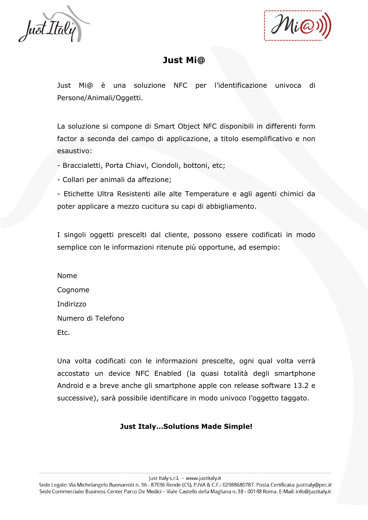

Mia

## **Just Mi@**

Just Mi@ è una soluzione NFC per l'identificazione univoca di Persone/Animali/Oggetti.

La soluzione si compone di Smart Object NFC disponibili in differenti form factor a seconda del campo di applicazione, a titolo esemplificativo e non esaustivo:

- Braccialetti, Porta Chiavi, Ciondoli, bottoni, etc;

- Collari per animali da affezione;

- Etichette Ultra Resistenti alle alte Temperature e agli agenti chimici da poter applicare a mezzo cucitura su capi di abbigliamento.

I singoli oggetti prescelti dal cliente, possono essere codificati in modo semplice con le informazioni ritenute più opportune, ad esempio:

Nome Cognome Indirizzo Numero di Telefono Etc.

Una volta codificati con le informazioni prescelte, ogni qual volta verrà accostato un device NFC Enabled (la quasi totalità degli smartphone Android e a breve anche gli smartphone apple con release software 13.2 e successive), sarà possibile identificare in modo univoco l'oggetto taggato.

## **Just Italy…Solutions Made Simple!**

Just Italy s.r.l. - www.justitaly.it

Sede Legale: Via Michelangelo Buonarroti n. 36 - 87036 Rende (CS). P. VA & C.F.: 02988680787. Posta Certificata: justitaly@pec.it Sede Commerciale: Business Center Parco De Medici - Viale Castello della Magliana n. 38 - 00148 Roma. E-Mail: info@justitaly.it